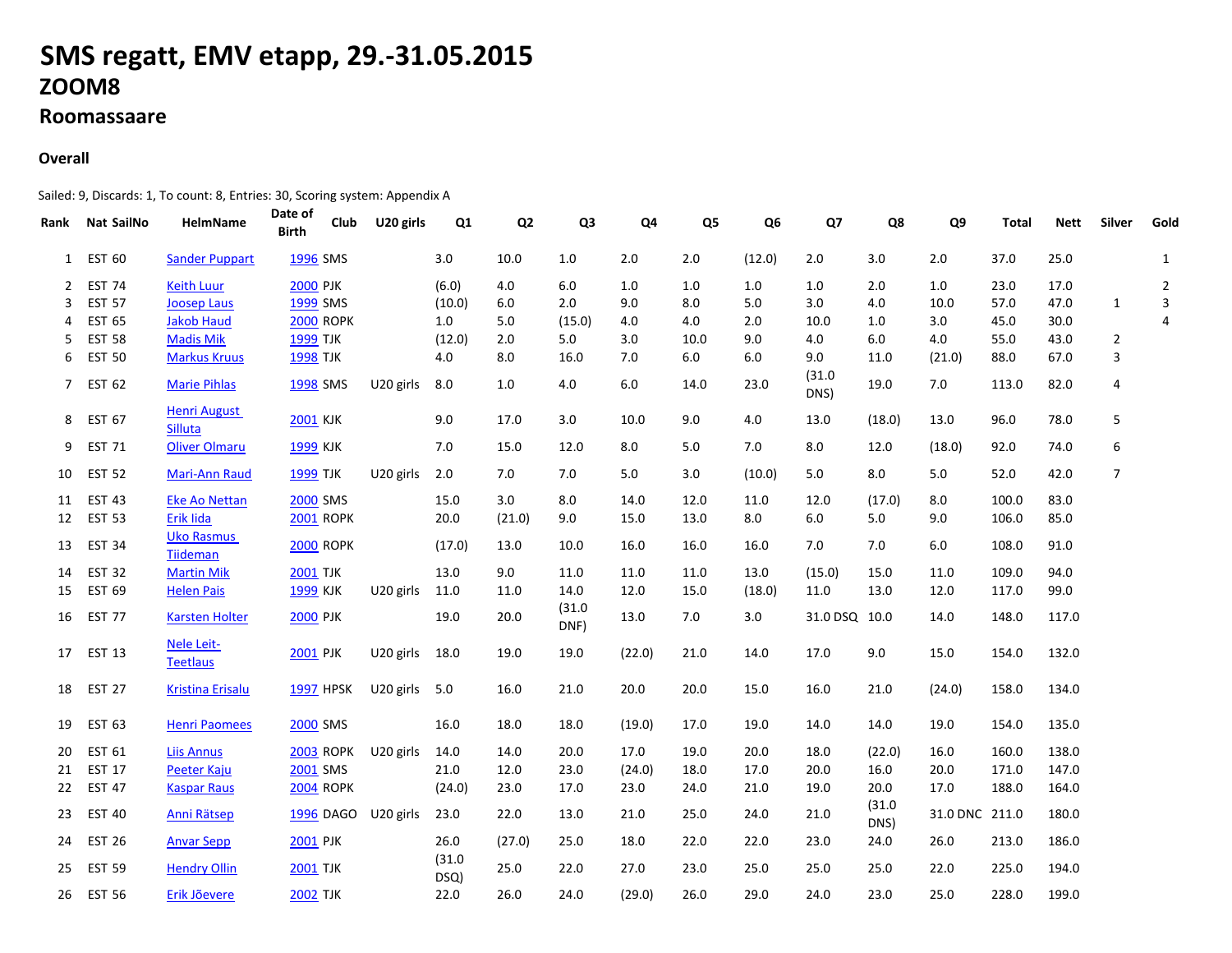## **SMS regatt, EMV etapp, 29.-31.05.2015ZOOM8**

## **Roomassaare**

## **Overall**

Sailed: 9, Discards: 1, To count: 8, Entries: 30, Scoring system: Appendix A

| Rank | <b>Nat SailNo</b> | HelmName                              | Date of<br>Club<br><b>Birth</b> | U20 girls     | Q1             | Q <sub>2</sub> | Q <sub>3</sub> | Q4     | Q <sub>5</sub> | Q <sub>6</sub> | Q7             | Q8             | Q9             | Total | <b>Nett</b> | <b>Silver</b>  | Gold           |
|------|-------------------|---------------------------------------|---------------------------------|---------------|----------------|----------------|----------------|--------|----------------|----------------|----------------|----------------|----------------|-------|-------------|----------------|----------------|
| 1    | <b>EST 60</b>     | <b>Sander Puppart</b>                 | 1996 SMS                        |               | 3.0            | 10.0           | 1.0            | 2.0    | 2.0            | (12.0)         | 2.0            | 3.0            | 2.0            | 37.0  | 25.0        |                | 1              |
| 2    | <b>EST 74</b>     | <b>Keith Luur</b>                     | <b>2000 PJK</b>                 |               | (6.0)          | 4.0            | 6.0            | 1.0    | 1.0            | 1.0            | 1.0            | 2.0            | 1.0            | 23.0  | 17.0        |                | $\overline{2}$ |
| 3    | <b>EST 57</b>     | <b>Joosep Laus</b>                    | 1999 SMS                        |               | (10.0)         | $6.0\,$        | 2.0            | 9.0    | 8.0            | 5.0            | 3.0            | 4.0            | 10.0           | 57.0  | 47.0        | 1              | 3              |
| 4    | <b>EST 65</b>     | <b>Jakob Haud</b>                     | <b>2000 ROPK</b>                |               | 1.0            | 5.0            | (15.0)         | 4.0    | 4.0            | 2.0            | 10.0           | 1.0            | 3.0            | 45.0  | 30.0        |                | 4              |
| 5    | <b>EST 58</b>     | <b>Madis Mik</b>                      | <b>1999 TJK</b>                 |               | (12.0)         | 2.0            | 5.0            | 3.0    | 10.0           | 9.0            | 4.0            | $6.0\,$        | 4.0            | 55.0  | 43.0        | $\overline{2}$ |                |
| 6    | <b>EST 50</b>     | <b>Markus Kruus</b>                   | <b>1998 TJK</b>                 |               | 4.0            | 8.0            | 16.0           | 7.0    | 6.0            | 6.0            | 9.0            | 11.0           | (21.0)         | 88.0  | 67.0        | 3              |                |
| 7    | <b>EST 62</b>     | <b>Marie Pihlas</b>                   | 1998 SMS                        | U20 girls     | 8.0            | 1.0            | 4.0            | 6.0    | 14.0           | 23.0           | (31.0)<br>DNS) | 19.0           | 7.0            | 113.0 | 82.0        | 4              |                |
| 8    | <b>EST 67</b>     | <b>Henri August</b><br><b>Silluta</b> | <b>2001 KJK</b>                 |               | 9.0            | 17.0           | 3.0            | 10.0   | 9.0            | 4.0            | 13.0           | (18.0)         | 13.0           | 96.0  | 78.0        | 5              |                |
| 9    | <b>EST 71</b>     | <b>Oliver Olmaru</b>                  | 1999 KJK                        |               | 7.0            | 15.0           | 12.0           | 8.0    | 5.0            | 7.0            | 8.0            | 12.0           | (18.0)         | 92.0  | 74.0        | 6              |                |
| 10   | <b>EST 52</b>     | Mari-Ann Raud                         | <b>1999 TJK</b>                 | U20 girls     | 2.0            | 7.0            | 7.0            | 5.0    | 3.0            | (10.0)         | 5.0            | 8.0            | 5.0            | 52.0  | 42.0        | $\overline{7}$ |                |
| 11   | <b>EST 43</b>     | <b>Eke Ao Nettan</b>                  | <b>2000 SMS</b>                 |               | 15.0           | 3.0            | 8.0            | 14.0   | 12.0           | 11.0           | 12.0           | (17.0)         | 8.0            | 100.0 | 83.0        |                |                |
| 12   | <b>EST 53</b>     | Erik lida                             | <b>2001 ROPK</b>                |               | 20.0           | (21.0)         | 9.0            | 15.0   | 13.0           | 8.0            | 6.0            | 5.0            | 9.0            | 106.0 | 85.0        |                |                |
| 13   | <b>EST 34</b>     | <b>Uko Rasmus</b><br><b>Tiideman</b>  | <b>2000 ROPK</b>                |               | (17.0)         | 13.0           | 10.0           | 16.0   | 16.0           | 16.0           | 7.0            | 7.0            | 6.0            | 108.0 | 91.0        |                |                |
| 14   | <b>EST 32</b>     | <b>Martin Mik</b>                     | <b>2001 TJK</b>                 |               | 13.0           | 9.0            | 11.0           | 11.0   | 11.0           | 13.0           | (15.0)         | 15.0           | 11.0           | 109.0 | 94.0        |                |                |
| 15   | <b>EST 69</b>     | <b>Helen Pais</b>                     | 1999 KJK                        | $U20$ girls   | 11.0           | 11.0           | 14.0           | 12.0   | 15.0           | (18.0)         | 11.0           | 13.0           | 12.0           | 117.0 | 99.0        |                |                |
| 16   | <b>EST 77</b>     | <b>Karsten Holter</b>                 | <b>2000 PJK</b>                 |               | 19.0           | 20.0           | (31.0)<br>DNF) | 13.0   | 7.0            | 3.0            | 31.0 DSQ 10.0  |                | 14.0           | 148.0 | 117.0       |                |                |
| 17   | <b>EST 13</b>     | Nele Leit-<br><b>Teetlaus</b>         | <b>2001 PJK</b>                 | $U20$ girls   | 18.0           | 19.0           | 19.0           | (22.0) | 21.0           | 14.0           | 17.0           | 9.0            | 15.0           | 154.0 | 132.0       |                |                |
| 18   | <b>EST 27</b>     | Kristina Erisalu                      | <b>1997 HPSK</b>                | U20 girls 5.0 |                | 16.0           | 21.0           | 20.0   | 20.0           | 15.0           | 16.0           | 21.0           | (24.0)         | 158.0 | 134.0       |                |                |
| 19   | <b>EST 63</b>     | Henri Paomees                         | 2000 SMS                        |               | 16.0           | 18.0           | 18.0           | (19.0) | 17.0           | 19.0           | 14.0           | 14.0           | 19.0           | 154.0 | 135.0       |                |                |
| 20   | <b>EST 61</b>     | <b>Liis Annus</b>                     | <b>2003 ROPK</b>                | U20 girls     | 14.0           | 14.0           | 20.0           | 17.0   | 19.0           | 20.0           | 18.0           | (22.0)         | 16.0           | 160.0 | 138.0       |                |                |
| 21   | <b>EST 17</b>     | <b>Peeter Kaju</b>                    | 2001 SMS                        |               | 21.0           | 12.0           | 23.0           | (24.0) | 18.0           | 17.0           | 20.0           | 16.0           | 20.0           | 171.0 | 147.0       |                |                |
| 22   | <b>EST 47</b>     | <b>Kaspar Raus</b>                    | <b>2004 ROPK</b>                |               | (24.0)         | 23.0           | 17.0           | 23.0   | 24.0           | 21.0           | 19.0           | 20.0           | 17.0           | 188.0 | 164.0       |                |                |
| 23   | <b>EST 40</b>     | Anni Rätsep                           | 1996 DAGO                       | U20 girls     | 23.0           | 22.0           | 13.0           | 21.0   | 25.0           | 24.0           | 21.0           | (31.0)<br>DNS) | 31.0 DNC 211.0 |       | 180.0       |                |                |
| 24   | <b>EST 26</b>     | <b>Anvar Sepp</b>                     | <b>2001 PJK</b>                 |               | 26.0           | (27.0)         | 25.0           | 18.0   | 22.0           | 22.0           | 23.0           | 24.0           | 26.0           | 213.0 | 186.0       |                |                |
| 25   | <b>EST 59</b>     | <b>Hendry Ollin</b>                   | <b>2001 TJK</b>                 |               | (31.0)<br>DSQ) | 25.0           | 22.0           | 27.0   | 23.0           | 25.0           | 25.0           | 25.0           | 22.0           | 225.0 | 194.0       |                |                |
| 26   | <b>EST 56</b>     | Erik Jõevere                          | <b>2002 TJK</b>                 |               | 22.0           | 26.0           | 24.0           | (29.0) | 26.0           | 29.0           | 24.0           | 23.0           | 25.0           | 228.0 | 199.0       |                |                |